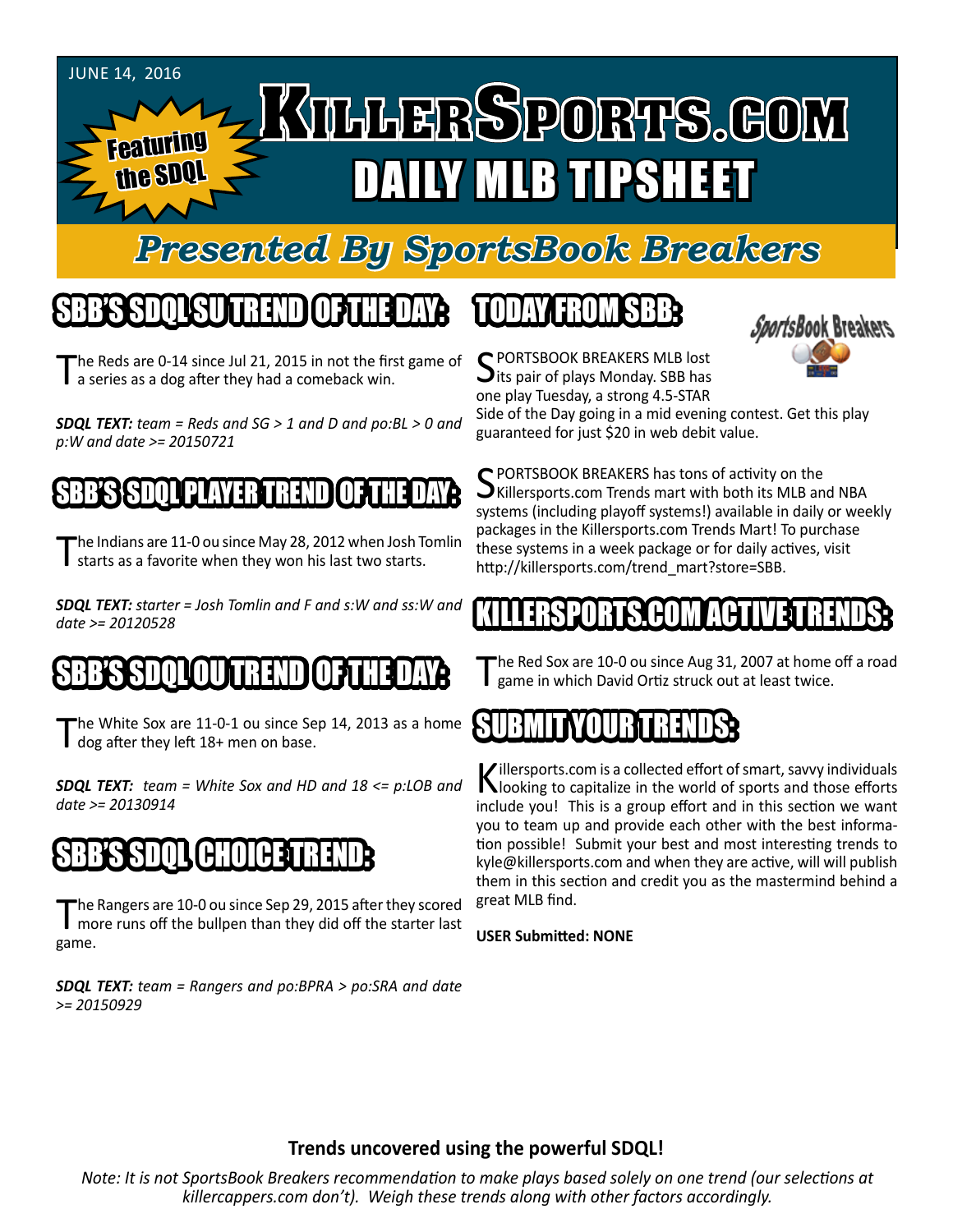#### June 14, 2016

**Featuring** 

the SDQ

# KILLERSPORTS.GOM DAILY MLB TIPSHEET

### *Presented By SportsBook Breakers*

### SBB'S SDQL SU TREND OF THE DAY:

he Reds are 0-14 since Jul 21, 2015 in not the first game of **a** series as a dog after they had a comeback win.

*SDQL TEXT: team = Reds and SG > 1 and D and po:BL > 0 and p:W and date >= 20150721*

#### SBB'S SDQLPLAYER TREND OF THE DAY:

The Indians are 11-0 ou since May 28, 2012 when Josh Tomlin I starts as a favorite when they won his last two starts.

*SDQL TEXT: starter = Josh Tomlin and F and s:W and ss:W and date >= 20120528*

### SBB'S SDQLOU TREND OF THE DAY:

he White Sox are 11-0-1 ou since Sep 14, 2013 as a home dog after they left 18+ men on base.

*SDQL TEXT: team = White Sox and HD and 18 <= p:LOB and date >= 20130914*

### 'BHOLCE ST

The Rangers are 10-0 ou since Sep 29, 2015 after they scored<br>more runs off the bullpen than they did off the starter last game.

*SDQL TEXT: team = Rangers and po:BPRA > po:SRA and date >= 20150929*

### TODAY HAOMSBB



SPORTSBOOK BREAKERS MLB lost<br>Sits pair of plays Monday. SBB has one play Tuesday, a strong 4.5-STAR

Side of the Day going in a mid evening contest. Get this play guaranteed for just \$20 in web debit value.

SPORTSBOOK BREAKERS has tons of activity on the<br>SKillersports.com Trends mart with both its MLB and NBA systems (including playoff systems!) available in daily or weekly packages in the Killersports.com Trends Mart! To purchase these systems in a week package or for daily actives, visit http://killersports.com/trend\_mart?store=SBB.

#### KILLERS HUM ALI

The Red Sox are 10-0 ou since Aug 31, 2007 at home off a road game in which David Ortiz struck out at least twice.

### SUBMITYOURTRENDS:

Killersports.com is a collected effort of smart, savvy individuals<br>Nooking to capitalize in the world of sports and those efforts include you! This is a group effort and in this section we want you to team up and provide each other with the best information possible! Submit your best and most interesting trends to kyle@killersports.com and when they are active, will will publish them in this section and credit you as the mastermind behind a great MLB find.

#### **USER Submitted: NONE**

#### **Trends uncovered using the powerful SDQL!**

*Note: It is not SportsBook Breakers recommendation to make plays based solely on one trend (our selections at killercappers.com don't). Weigh these trends along with other factors accordingly.*